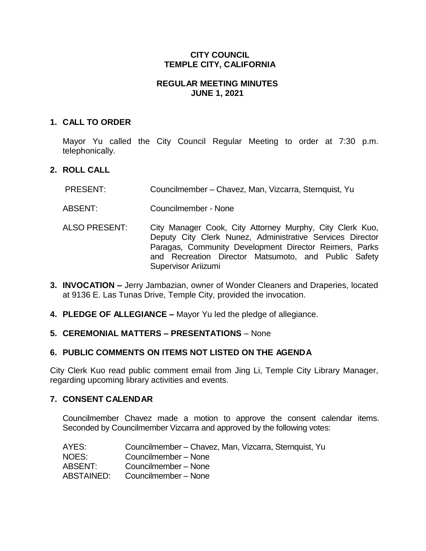## **CITY COUNCIL TEMPLE CITY, CALIFORNIA**

### **REGULAR MEETING MINUTES JUNE 1, 2021**

## **1. CALL TO ORDER**

Mayor Yu called the City Council Regular Meeting to order at 7:30 p.m. telephonically.

## **2. ROLL CALL**

- PRESENT: Councilmember Chavez, Man, Vizcarra, Sternquist, Yu
- ABSENT: Councilmember None
- ALSO PRESENT: City Manager Cook, City Attorney Murphy, City Clerk Kuo, Deputy City Clerk Nunez, Administrative Services Director Paragas, Community Development Director Reimers, Parks and Recreation Director Matsumoto, and Public Safety Supervisor Ariizumi
- **3. INVOCATION –** Jerry Jambazian, owner of Wonder Cleaners and Draperies, located at 9136 E. Las Tunas Drive, Temple City, provided the invocation.
- **4. PLEDGE OF ALLEGIANCE –** Mayor Yu led the pledge of allegiance.

### **5. CEREMONIAL MATTERS – PRESENTATIONS** – None

### **6. PUBLIC COMMENTS ON ITEMS NOT LISTED ON THE AGENDA**

City Clerk Kuo read public comment email from Jing Li, Temple City Library Manager, regarding upcoming library activities and events.

### **7. CONSENT CALENDAR**

Councilmember Chavez made a motion to approve the consent calendar items. Seconded by Councilmember Vizcarra and approved by the following votes:

| AYES:      | Councilmember – Chavez, Man, Vizcarra, Sternquist, Yu |
|------------|-------------------------------------------------------|
| NOES:      | Councilmember - None                                  |
| ABSENT:    | Councilmember - None                                  |
| ABSTAINED: | Councilmember - None                                  |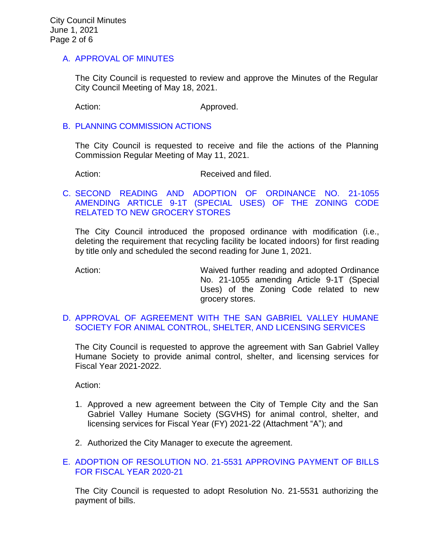## A. [APPROVAL](https://www.ci.temple-city.ca.us/DocumentCenter/View/16326/02-7A_CCM---2021-05-18) OF MINUTES

The City Council is requested to review and approve the Minutes of the Regular City Council Meeting of May 18, 2021.

Action: Approved.

#### B. [PLANNING COMMISSION ACTIONS](https://www.ci.temple-city.ca.us/DocumentCenter/View/16319/03-7B_PC-Actions---from-2021-5-11)

The City Council is requested to receive and file the actions of the Planning Commission Regular Meeting of May 11, 2021.

Action: Received and filed.

## C. [SECOND READING AND ADOPTION OF ORDINANCE NO. 21-1055](https://www.ci.temple-city.ca.us/DocumentCenter/View/16320/04-7C_Grocery-Store-Ordinance_Second-Reading-w-attachments)  [AMENDING ARTICLE 9-1T \(SPECIAL USES\) OF THE ZONING CODE](https://www.ci.temple-city.ca.us/DocumentCenter/View/16320/04-7C_Grocery-Store-Ordinance_Second-Reading-w-attachments)  [RELATED TO NEW GROCERY STORES](https://www.ci.temple-city.ca.us/DocumentCenter/View/16320/04-7C_Grocery-Store-Ordinance_Second-Reading-w-attachments)

The City Council introduced the proposed ordinance with modification (i.e., deleting the requirement that recycling facility be located indoors) for first reading by title only and scheduled the second reading for June 1, 2021.

Action: **Maived further reading and adopted Ordinance** No. 21-1055 amending Article 9-1T (Special Uses) of the Zoning Code related to new grocery stores.

## D. [APPROVAL OF AGREEMENT WITH THE SAN GABRIEL VALLEY HUMANE](https://www.ci.temple-city.ca.us/DocumentCenter/View/16321/05-7D_San-Gabriel-Valley-Humane-Society_Staff-Report-w-attachments)  [SOCIETY FOR ANIMAL CONTROL, SHELTER, AND LICENSING SERVICES](https://www.ci.temple-city.ca.us/DocumentCenter/View/16321/05-7D_San-Gabriel-Valley-Humane-Society_Staff-Report-w-attachments)

The City Council is requested to approve the agreement with San Gabriel Valley Humane Society to provide animal control, shelter, and licensing services for Fiscal Year 2021-2022.

Action:

- 1. Approved a new agreement between the City of Temple City and the San Gabriel Valley Humane Society (SGVHS) for animal control, shelter, and licensing services for Fiscal Year (FY) 2021-22 (Attachment "A"); and
- 2. Authorized the City Manager to execute the agreement.

## E. [ADOPTION OF RESOLUTION NO. 21-5531](https://www.ci.temple-city.ca.us/DocumentCenter/View/16322/06-7E_Reso-No-21-5531-060121---Warrants--Demands-FY-2020-2021) APPROVING PAYMENT OF BILLS [FOR FISCAL YEAR 2020-21](https://www.ci.temple-city.ca.us/DocumentCenter/View/16322/06-7E_Reso-No-21-5531-060121---Warrants--Demands-FY-2020-2021)

The City Council is requested to adopt Resolution No. 21-5531 authorizing the payment of bills.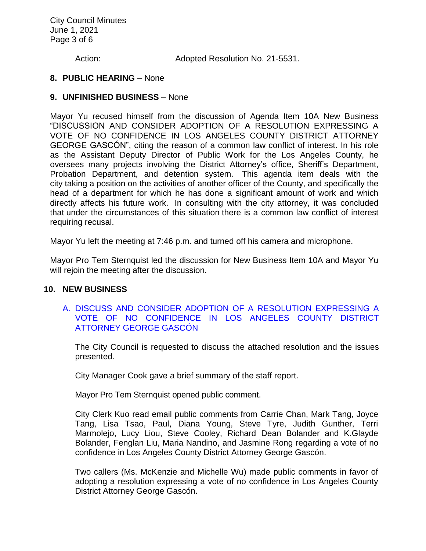City Council Minutes June 1, 2021 Page 3 of 6

Action: Adopted Resolution No. 21-5531.

#### **8. PUBLIC HEARING** – None

#### **9. UNFINISHED BUSINESS** – None

Mayor Yu recused himself from the discussion of Agenda Item 10A New Business "DISCUSSION AND CONSIDER ADOPTION OF A RESOLUTION EXPRESSING A VOTE OF NO CONFIDENCE IN LOS ANGELES COUNTY DISTRICT ATTORNEY GEORGE GASCÓN", citing the reason of a common law conflict of interest. In his role as the Assistant Deputy Director of Public Work for the Los Angeles County, he oversees many projects involving the District Attorney's office, Sheriff's Department, Probation Department, and detention system. This agenda item deals with the city taking a position on the activities of another officer of the County, and specifically the head of a department for which he has done a significant amount of work and which directly affects his future work. In consulting with the city attorney, it was concluded that under the circumstances of this situation there is a common law conflict of interest requiring recusal.

Mayor Yu left the meeting at 7:46 p.m. and turned off his camera and microphone.

Mayor Pro Tem Sternquist led the discussion for New Business Item 10A and Mayor Yu will rejoin the meeting after the discussion.

#### **10. NEW BUSINESS**

### A. [DISCUSS AND CONSIDER ADOPTION OF A RESOLUTION EXPRESSING A](https://www.ci.temple-city.ca.us/DocumentCenter/View/16323/07-10A_Vote-of-No-Confidence-Los-Angeles-County-District-Attorney-George-Gascon-w-attachment)  [VOTE OF NO CONFIDENCE IN LOS ANGELES COUNTY DISTRICT](https://www.ci.temple-city.ca.us/DocumentCenter/View/16323/07-10A_Vote-of-No-Confidence-Los-Angeles-County-District-Attorney-George-Gascon-w-attachment)  [ATTORNEY GEORGE GASCÓN](https://www.ci.temple-city.ca.us/DocumentCenter/View/16323/07-10A_Vote-of-No-Confidence-Los-Angeles-County-District-Attorney-George-Gascon-w-attachment)

The City Council is requested to discuss the attached resolution and the issues presented.

City Manager Cook gave a brief summary of the staff report.

Mayor Pro Tem Sternquist opened public comment.

City Clerk Kuo read email public comments from Carrie Chan, Mark Tang, Joyce Tang, Lisa Tsao, Paul, Diana Young, Steve Tyre, Judith Gunther, Terri Marmolejo, Lucy Liou, Steve Cooley, Richard Dean Bolander and K.Glayde Bolander, Fenglan Liu, Maria Nandino, and Jasmine Rong regarding a vote of no confidence in Los Angeles County District Attorney George Gascón.

Two callers (Ms. McKenzie and Michelle Wu) made public comments in favor of adopting a resolution expressing a vote of no confidence in Los Angeles County District Attorney George Gascón.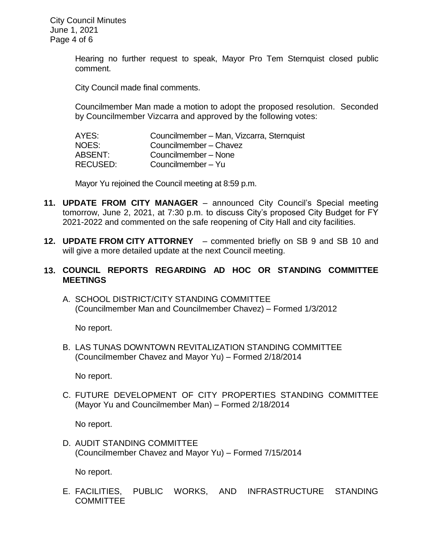Hearing no further request to speak, Mayor Pro Tem Sternquist closed public comment.

City Council made final comments.

Councilmember Man made a motion to adopt the proposed resolution. Seconded by Councilmember Vizcarra and approved by the following votes:

| AYES:           | Councilmember - Man, Vizcarra, Sternquist |
|-----------------|-------------------------------------------|
| NOES:           | Councilmember - Chavez                    |
| ABSENT:         | Councilmember - None                      |
| <b>RECUSED:</b> | Councilmember - Yu                        |

Mayor Yu rejoined the Council meeting at 8:59 p.m.

- **11. UPDATE FROM CITY MANAGER** announced City Council's Special meeting tomorrow, June 2, 2021, at 7:30 p.m. to discuss City's proposed City Budget for FY 2021-2022 and commented on the safe reopening of City Hall and city facilities.
- **12. UPDATE FROM CITY ATTORNEY** commented briefly on SB 9 and SB 10 and will give a more detailed update at the next Council meeting.
- **13. COUNCIL REPORTS REGARDING AD HOC OR STANDING COMMITTEE MEETINGS**
	- A. SCHOOL DISTRICT/CITY STANDING COMMITTEE (Councilmember Man and Councilmember Chavez) – Formed 1/3/2012

No report.

B. LAS TUNAS DOWNTOWN REVITALIZATION STANDING COMMITTEE (Councilmember Chavez and Mayor Yu) – Formed 2/18/2014

No report.

C. FUTURE DEVELOPMENT OF CITY PROPERTIES STANDING COMMITTEE (Mayor Yu and Councilmember Man) – Formed 2/18/2014

No report.

D. AUDIT STANDING COMMITTEE (Councilmember Chavez and Mayor Yu) – Formed 7/15/2014

No report.

E. FACILITIES, PUBLIC WORKS, AND INFRASTRUCTURE STANDING COMMITTEE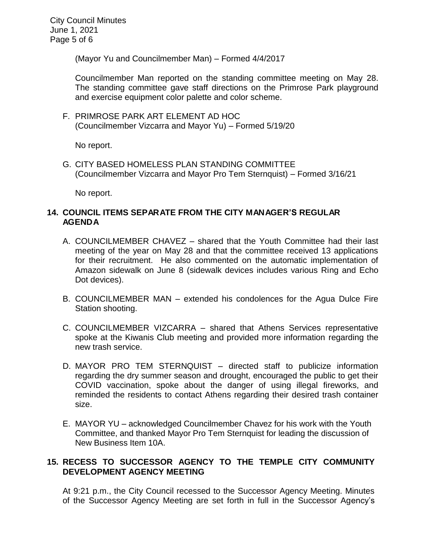City Council Minutes June 1, 2021 Page 5 of 6

(Mayor Yu and Councilmember Man) – Formed 4/4/2017

Councilmember Man reported on the standing committee meeting on May 28. The standing committee gave staff directions on the Primrose Park playground and exercise equipment color palette and color scheme.

F. PRIMROSE PARK ART ELEMENT AD HOC (Councilmember Vizcarra and Mayor Yu) – Formed 5/19/20

No report.

G. CITY BASED HOMELESS PLAN STANDING COMMITTEE (Councilmember Vizcarra and Mayor Pro Tem Sternquist) – Formed 3/16/21

No report.

## **14. COUNCIL ITEMS SEPARATE FROM THE CITY MANAGER'S REGULAR AGENDA**

- A. COUNCILMEMBER CHAVEZ shared that the Youth Committee had their last meeting of the year on May 28 and that the committee received 13 applications for their recruitment. He also commented on the automatic implementation of Amazon sidewalk on June 8 (sidewalk devices includes various Ring and Echo Dot devices).
- B. COUNCILMEMBER MAN extended his condolences for the Agua Dulce Fire Station shooting.
- C. COUNCILMEMBER VIZCARRA shared that Athens Services representative spoke at the Kiwanis Club meeting and provided more information regarding the new trash service.
- D. MAYOR PRO TEM STERNQUIST directed staff to publicize information regarding the dry summer season and drought, encouraged the public to get their COVID vaccination, spoke about the danger of using illegal fireworks, and reminded the residents to contact Athens regarding their desired trash container size.
- E. MAYOR YU acknowledged Councilmember Chavez for his work with the Youth Committee, and thanked Mayor Pro Tem Sternquist for leading the discussion of New Business Item 10A.

# **15. RECESS TO SUCCESSOR AGENCY TO THE TEMPLE CITY COMMUNITY DEVELOPMENT AGENCY MEETING**

At 9:21 p.m., the City Council recessed to the Successor Agency Meeting. Minutes of the Successor Agency Meeting are set forth in full in the Successor Agency's